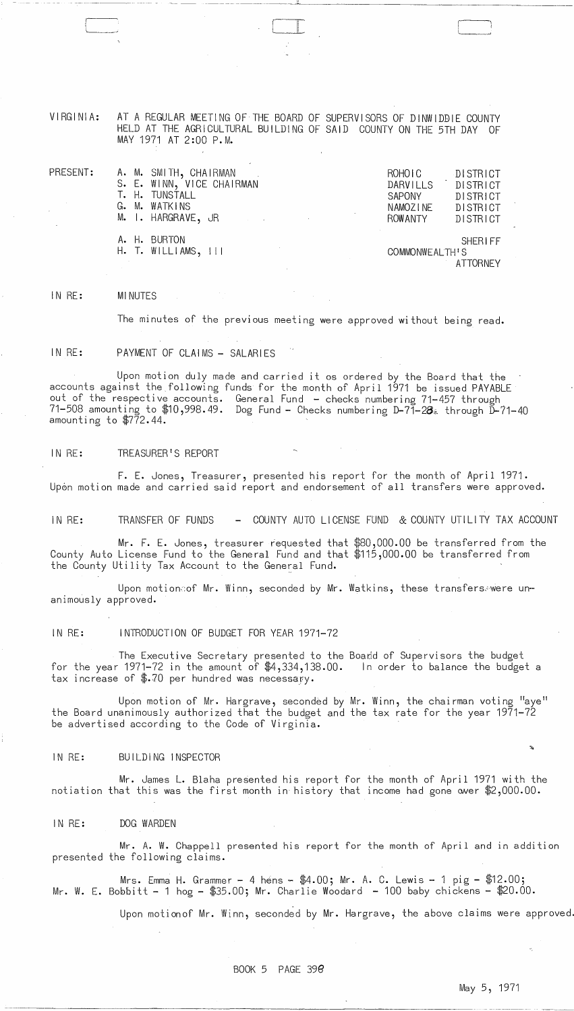VIRGINIA: AT A REGULAR MEETING OF THE BOARD OF SUPERVISORS OF DINWIDDIE COUNTY HELD AT THE AGRICULTURAL BUILDING OF SAID COUNTY ON THE 5TH DAY OF MAY 1971 AT 2:00 P.M.

| PRESENT: | A. M. SMITH, CHAIRMAN                   |  | ROHOIC                | DISTRICT        |
|----------|-----------------------------------------|--|-----------------------|-----------------|
|          | S. E. WINN, VICE CHAIRMAN               |  | DARVILLS <sup>1</sup> | <b>DISTRICT</b> |
|          | T. H. TUNSTALL                          |  | <b>SAPONY</b>         | DISTRICT        |
|          | G. M. WATKINS                           |  | NAMOZINE              | DISTRICT        |
|          | M. I. HARGRAVE, JR                      |  | ROWANTY               | DISTRICT        |
|          | A. H. BURTON<br>$H.$ T. WILLIAMS, $111$ |  | COMMONWEALTH'S        | <b>SHERIFF</b>  |
|          |                                         |  |                       | ATTORNEY        |

IN RE: MINUTES

The minutes of the previous meeting were approved without being read.

#### IN RE: PAYMENT OF CLAIMS - SALARIES

Upon motion duly made and carried it os ordered by the Board that the accounts against the following funds for the month of April 1971 be issued PAYABLE out of the respective accounts. General Fund - checks numbering 71-457 through 71-508 amounting to \$10,998.49. Dog Fund - Checks numbering D-71-28~ through D-71-40 amounting to \$772.44.

### IN RE: TREASURER'S REPORT

F. E. Jones, Treasurer, presented his report for the month of April 1971. Upon motion made and carried said report and endorsement of all transfers were approved.

IN RE: TRANSFER OF FUNDS - COUNTY AUTO LICENSE FUND & COUNTY UTILITY TAX ACCOUNT

Mr. F. E. Jones, treasurer requested that \$80,000.00 be transferred from the County Auto License Fund to the General Fund and that \$115,000.00 be transferred from the County Utility Tax Account to the General Fund.

Upon motionoof Mr. Winn, seconded by Mr. Watkins, these transfers. were unanimously approved.

# IN RE: INTRODUCTION OF BUDGET FOR YEAR 1971-72

The Executive Secretary presented to the Board of Supervisors the budget for the year 1971-72 in the amount of \$4,334,138.00. In order to balance the budget a tax increase of \$.70 per hundred was necessary.

Upon motion of Mr. Hargrave, seconded by Mr. Winn, the chairman voting "aye" the Board unanimously authorized that the budget and the tax rate for the year 1971-72 be advertised according to the Code of Virginia.

# IN RE: BUILDING INSPECTOR

Mr. James L. Blaha presented his report for the month of April 1971 with the notiation that this was the first month in history that income had gone over  $$2,000.00$ .

IN RE: DOG WARDEN

Mr. A. W. Chappell presented his report for the month of April and in addition presented the following claims.

Mrs. Emma H. Grammer - 4 hens -  $$4.00;$  Mr. A. C. Lewis - 1 pig -  $$12.00;$ Mr. W. E. Bobbitt - 1 hog -  $$35.00;$  Mr. Charlie Woodard - 100 baby chickens -  $$20.00$ .

Upon motionof Mr. Winn, seconded by Mr. Hargrave, the above claims were approved.

BOOK 5 PAGE *3ge* 

May 5, 1971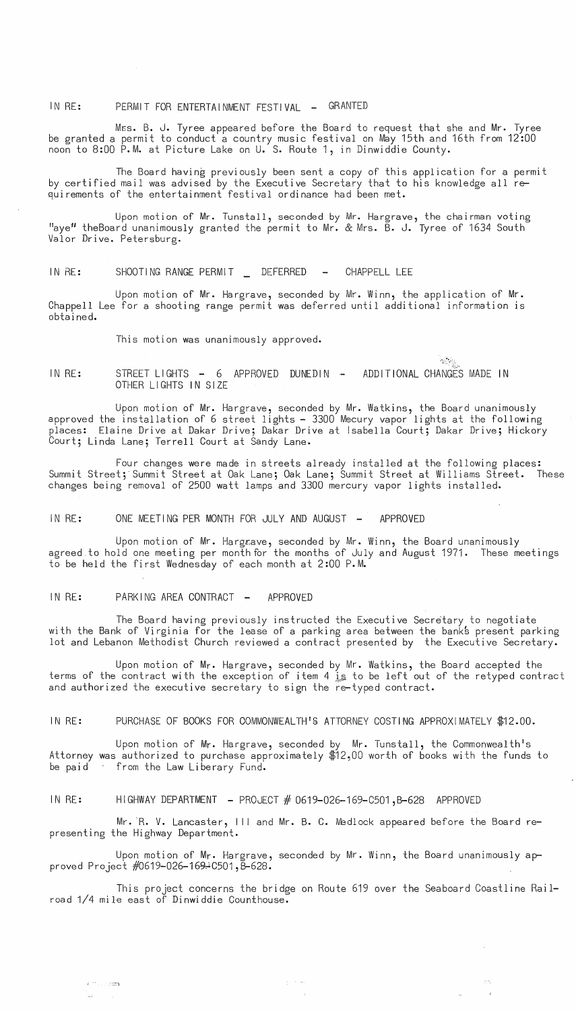IN RE: PERMIT FOR ENTERTAINMENT FESTIVAL - GRANTED

Mes. B. J. Tyree appeared before the Board to request that she and Mr. Tyree be granted a permit to conduct a country music festival on May 15th and 16th from 12:00 noon to 8:00 P.M. at Picture Lake on U. S. Route 1, in Dinwiddie County.

The Board having previously been sent a copy of this application for a permit by certified mail was advised by the Executive Secretary that to his knowledge all requirements of the entertainment festival ordinance had been met.

Upon motion of Mr. Tunstall, seconded by Mr. Hargrave, the chairman voting "ave" theBoard unanimously granted the permit to Mr. & Mrs. B. J. Tyree of 1634 South Valor Drive. Petersburg.

IN RE: SHOOTING RANGE PERMIT DEFERRED - CHAPPELL LEE

Upon motion of Mr. Hargrave, seconded by Mr. Winn, the application of Mr. Chappell Lee for a shooting range permit was deferred until additional information is obtained.

This motion was unanimously approved.

IN RE: STREET LIGHTS - 6 APPROVED DUNEDIN -OTHER LIGHTS IN SIZE ADDITIONAL CHANGES MADE IN

Upon motion of Mr. Hargrave, seconded by Mr. Watkins, the Board unanimously approved the installation of 6 street lights - 3300 Mecury vapor lights at the following places: Elaine Drive at Dakar Drive; Dakar Drive at Isabella Court; Dakar Drive; Hickory Court; Linda Lane; Terrell Court at Sandy Lane.

*r,,,"* '''~ •..

Four changes were made in streets already installed at the following places: Summit Street; Summit Street at Oak Lane; Oak Lane; Summit Street at Williams Street. These changes being removal of 2500 watt lamps and 3300 mercury vapor lights installed.

IN RE: ONE MEETING PER MONTH FOR JULY AND AUGUST - APPROVED

Upon motion of Mr. Hargrave, seconded by Mr. Winn, the Board unanimously agreed.to hold one meeting per month for the months of July and August 1971. These meetings to be held the first Wednesday of each month at 2:00 P.M.

IN RE: PARKING AREA CONTRACT - APPROVED

 $\mathcal{L}^{(m)}$  . . . . .  $\mathbb{Z}$ 

The Board having previously instructed the Executive Secretary to negotiate with the Bank of Virginia for the lease of a parking area between the banks present parking lot and Lebanon Methodist Church reviewed a contract presented by the Executive Secretary.

Upon motion of Mr. Hargrave, seconded by Mr. Watkins, the Board accepted the terms of the contract with the exception of item 4 is to be left out of the retyped contract and authorized the executive secretary to sign the re-typed contract.

IN RE: PURCHASE OF BOOKS FOR OOMMONWEALTH'S ATTORNEY COSTING APPROXIMATELY \$12.00.

Upon motion of Mr. Hargrave, seconded by Mr. Tunstall, the Commonwealth's Attorney was authorized to purchase approximately \$12,00 worth of books with the funds to be paid from the Law Liberary Fund.

IN RE: HIGHWAY DEPARTMENT - PROJECT  $#$  0619-026-169-C501, B-628 APPROVED

Mr. R. V. Lancaster, III and Mr. B. C. Medlock appeared before the Board representing the Highway Department.

Upon motion of Mr. Hargrave, seconded by Mr. Winn, the Board unanimously approved Project #0619-026-169~C501, B-628.

> $\gamma_{\rm eff}$  ,  $\gamma_{\rm eff}$  as  $\sim$

This project concerns the bridge on Route 619 over the Seaboard Coastline Railroad 1/4 mile east of Dinwiddie Counthouse.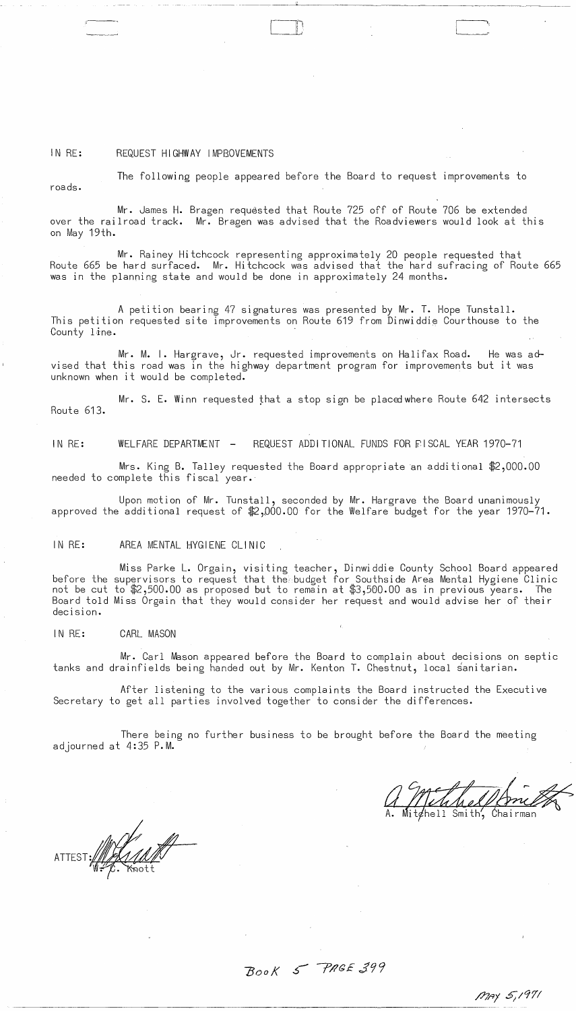#### IN RE: REQUEST HIGHWAY IMPBOVEMENTS

The following people appeared before the Board to request improvements to

 $\Box$ - 1..-1

roads.

Mr. James H. Bragen requested that Route 725 off of Route 706 be extended over the railroad track. Mr. Bragen was advised that the Roadviewers would look at this on May 19th.

Mr. Rainey Hitchcock representing approximately 20 people requested that Route 665 be hard surfaced. Mr. Hitchcock was advised that the hard sufracing of Route 665 was in the planning state and would be done in approximately 24 months.

A petition bearing 47 signatures was presented by Mr. **T.** Hope Tunstall. This petition requested site improvements on Route 619 from Dinwiddie Courthouse to the County line.

Mr. M. **I.** Hargrave, Jr. requested improvements on Halifax Road. He was advised that this road was in the highway department program for improvements but it was unknown when it would be completed.

Mr. S. E. Winn requested that a stop sign be placed where Route 642 intersects Route 613.

IN RE: WELFARE DEPARTMENT - REQUEST ADDITIONAL FUNDS FOR EISCAL YEAR 1970-71

Mrs. King B. Talley requested the Board appropriate an additional \$2,000.00 needed to complete this fiscal year.

Upon motion of Mr. Tunstall, seconded by Mr. Hargrave the Board unanimously approved the additional request of \$2,000.00 for the Welfare budget for the year 1970-71.

## IN RE: AREA MENTAL HYGIENE CLINIC

Miss Parke **L.** Orgain, visiting teacher, Dinwiddie County School Board appeared before the supervisors to request that the budget for Southside Area Mental Hygiene Clinic not be cut to \$2,500.00 as proposed but to remain at \$3,500.00 as in previous years. The Board told Miss Orgain that they would consider her request and would advise her of their decision.

IN RE: CARL MASON

Mr. Carl Mason appeared before the Board to complain about decisions on septic tanks and drainfields being handed out by Mr. Kenton **T.** Chestnut, local sanitarian.

After listening to the various complaints the Board instructed the Executive Secretary to get all parties involved together to consider the differences.

There being no further business to be brought before the Board the meeting adjourned at 4:35 P.M.

Mitchell Smith, Chairman

ATTEST://////////////////